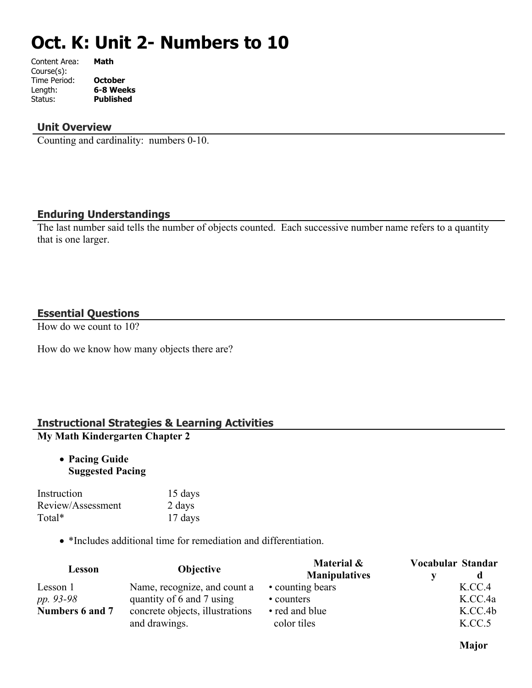# **Oct. K: Unit 2- Numbers to 10**

| Content Area: | Math             |
|---------------|------------------|
| Course(s):    |                  |
| Time Period:  | <b>October</b>   |
| Length:       | 6-8 Weeks        |
| Status:       | <b>Published</b> |
|               |                  |

#### **Unit Overview**

Counting and cardinality: numbers 0-10.

#### **Enduring Understandings**

The last number said tells the number of objects counted. Each successive number name refers to a quantity that is one larger.

#### **Essential Questions**

How do we count to 10?

How do we know how many objects there are?

### **Instructional Strategies & Learning Activities My Math Kindergarten Chapter 2**

 **Pacing Guide Suggested Pacing**

| Instruction       | 15 days |
|-------------------|---------|
| Review/Assessment | 2 days  |
| Total*            | 17 days |

\*Includes additional time for remediation and differentiation.

| Lesson                                             | <b>Objective</b>             | Material &           | Vocabular Standar |
|----------------------------------------------------|------------------------------|----------------------|-------------------|
|                                                    |                              | <b>Manipulatives</b> |                   |
| Lesson 1                                           | Name, recognize, and count a | • counting bears     | K.CC.4            |
| pp. 93-98                                          | quantity of 6 and 7 using    | • counters           | K.CC.4a           |
| Numbers 6 and 7<br>concrete objects, illustrations | • red and blue               | K.CC.4b              |                   |
|                                                    | and drawings.                | color tiles          | K.CC.5            |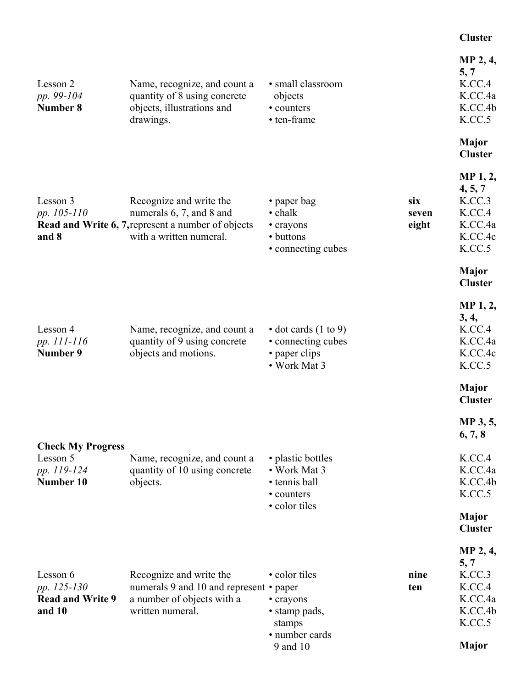# **Cluster**

| Lesson 2<br>pp. 99-104<br>Number 8                           | Name, recognize, and count a<br>quantity of 8 using concrete<br>objects, illustrations and<br>drawings.                                     | • small classroom<br>objects<br>• counters<br>• ten-frame                           |                       | MP 2, 4,<br>5, 7<br>K.CC.4<br>K.CC.4a<br>K.CC.4b<br>K.CC.5                     |
|--------------------------------------------------------------|---------------------------------------------------------------------------------------------------------------------------------------------|-------------------------------------------------------------------------------------|-----------------------|--------------------------------------------------------------------------------|
|                                                              |                                                                                                                                             |                                                                                     |                       | <b>Major</b><br><b>Cluster</b>                                                 |
| Lesson 3<br>pp. 105-110<br>and 8                             | Recognize and write the<br>numerals 6, 7, and 8 and<br><b>Read and Write 6, 7, represent a number of objects</b><br>with a written numeral. | • paper bag<br>$\cdot$ chalk<br>• crayons<br>• buttons<br>• connecting cubes        | six<br>seven<br>eight | <b>MP</b> 1, 2,<br>4, 5, 7<br>K.CC.3<br>K.CC.4<br>K.CC.4a<br>K.CC.4c<br>K.CC.5 |
|                                                              |                                                                                                                                             |                                                                                     |                       | Major<br><b>Cluster</b>                                                        |
| Lesson 4<br>pp. 111-116<br>Number 9                          | Name, recognize, and count a<br>quantity of 9 using concrete<br>objects and motions.                                                        | $\cdot$ dot cards (1 to 9)<br>• connecting cubes<br>• paper clips<br>• Work Mat 3   |                       | MP 1, 2,<br>3, 4,<br>K.CC.4<br>K.CC.4a<br>K.CC.4c<br>K.CC.5                    |
|                                                              |                                                                                                                                             |                                                                                     |                       | <b>Major</b><br><b>Cluster</b>                                                 |
| <b>Check My Progress</b>                                     |                                                                                                                                             |                                                                                     |                       | MP 3, 5,<br>6, 7, 8                                                            |
| Lesson 5<br>pp. 119-124<br>Number 10                         | Name, recognize, and count a<br>quantity of 10 using concrete<br>objects.                                                                   | • plastic bottles<br>• Work Mat 3<br>• tennis ball<br>• counters<br>• color tiles   |                       | K.CC.4<br>K.CC.4a<br>K.CC.4b<br>K.CC.5                                         |
|                                                              |                                                                                                                                             |                                                                                     |                       | Major<br><b>Cluster</b>                                                        |
|                                                              |                                                                                                                                             |                                                                                     |                       | MP 2, 4,<br>5, 7                                                               |
| Lesson 6<br>pp. 125-130<br><b>Read and Write 9</b><br>and 10 | Recognize and write the<br>numerals 9 and 10 and represent • paper<br>a number of objects with a<br>written numeral.                        | • color tiles<br>• crayons<br>• stamp pads,<br>stamps<br>• number cards<br>9 and 10 | nine<br>ten           | K.CC.3<br>K.CC.4<br>K.CC.4a<br>K.CC.4b<br>K.CC.5<br><b>Major</b>               |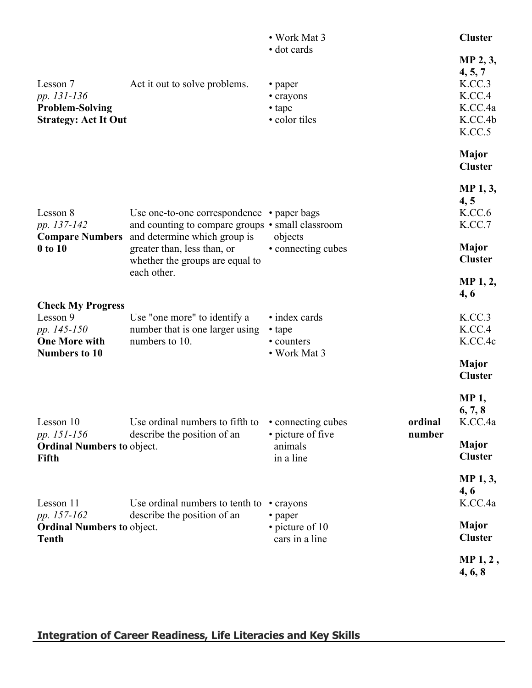|                                                  |                                                                                                         | • Work Mat 3                 |         | <b>Cluster</b>                 |
|--------------------------------------------------|---------------------------------------------------------------------------------------------------------|------------------------------|---------|--------------------------------|
|                                                  |                                                                                                         | • dot cards                  |         | MP 2, 3,<br>4, 5, 7            |
| Lesson 7                                         | Act it out to solve problems.                                                                           | • paper                      |         | K.CC.3                         |
| pp. 131-136                                      |                                                                                                         | • crayons                    |         | K.CC.4                         |
| <b>Problem-Solving</b>                           |                                                                                                         | • tape                       |         | K.CC.4a                        |
| <b>Strategy: Act It Out</b>                      |                                                                                                         | · color tiles                |         | K.CC.4b<br>K.CC.5              |
|                                                  |                                                                                                         |                              |         |                                |
|                                                  |                                                                                                         |                              |         | <b>Major</b>                   |
|                                                  |                                                                                                         |                              |         | <b>Cluster</b>                 |
|                                                  |                                                                                                         |                              |         | <b>MP</b> 1, 3,                |
|                                                  |                                                                                                         |                              |         | 4, 5                           |
| Lesson 8                                         | Use one-to-one correspondence • paper bags                                                              |                              |         | K.CC.6                         |
| pp. 137-142                                      | and counting to compare groups • small classroom<br><b>Compare Numbers</b> and determine which group is | objects                      |         | K.CC.7                         |
| $0$ to $10$                                      | greater than, less than, or                                                                             | • connecting cubes           |         | <b>Major</b>                   |
|                                                  | whether the groups are equal to                                                                         |                              |         | <b>Cluster</b>                 |
|                                                  | each other.                                                                                             |                              |         | MP 1, 2,                       |
|                                                  |                                                                                                         |                              |         | 4, 6                           |
| <b>Check My Progress</b><br>Lesson 9             | Use "one more" to identify a                                                                            | • index cards                |         | K.CC.3                         |
| pp. 145-150                                      | number that is one larger using                                                                         | • tape                       |         | K.CC.4                         |
| <b>One More with</b>                             | numbers to 10.                                                                                          | • counters                   |         | K.CC.4c                        |
| <b>Numbers to 10</b>                             |                                                                                                         | • Work Mat 3                 |         |                                |
|                                                  |                                                                                                         |                              |         | <b>Major</b><br><b>Cluster</b> |
|                                                  |                                                                                                         |                              |         | <b>MP1,</b>                    |
|                                                  |                                                                                                         |                              |         | 6, 7, 8                        |
| Lesson 10                                        | Use ordinal numbers to fifth to                                                                         | • connecting cubes           | ordinal | K.CC.4a                        |
| pp. 151-156<br><b>Ordinal Numbers to object.</b> | describe the position of an                                                                             | • picture of five<br>animals | number  | <b>Major</b>                   |
| Fifth                                            |                                                                                                         | in a line                    |         | <b>Cluster</b>                 |
|                                                  |                                                                                                         |                              |         | MP <sub>1</sub> , 3,           |
|                                                  |                                                                                                         |                              |         | 4,6                            |
| Lesson 11                                        | Use ordinal numbers to tenth to                                                                         | • crayons                    |         | K.CC.4a                        |
| pp. 157-162                                      | describe the position of an                                                                             | • paper                      |         |                                |
| <b>Ordinal Numbers to object.</b>                |                                                                                                         | • picture of 10              |         | <b>Major</b>                   |
| <b>Tenth</b>                                     |                                                                                                         | cars in a line               |         | <b>Cluster</b>                 |
|                                                  |                                                                                                         |                              |         | $MP1, 2$ ,                     |
|                                                  |                                                                                                         |                              |         | 4, 6, 8                        |

**Integration of Career Readiness, Life Literacies and Key Skills**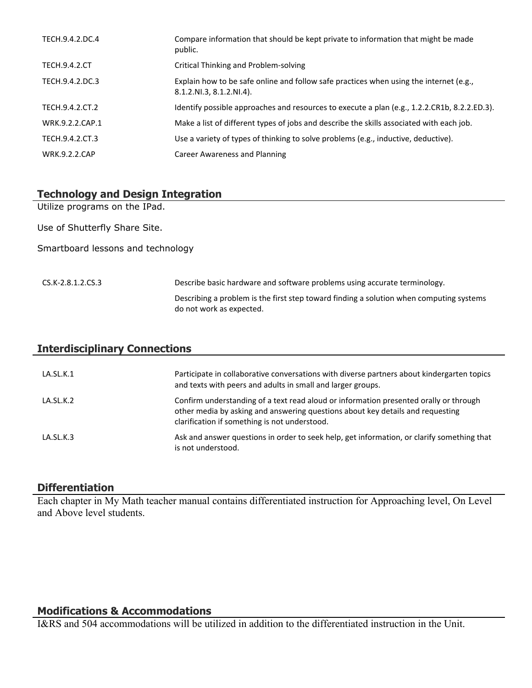| TECH.9.4.2.DC.4      | Compare information that should be kept private to information that might be made<br>public.                       |
|----------------------|--------------------------------------------------------------------------------------------------------------------|
| <b>TECH.9.4.2.CT</b> | Critical Thinking and Problem-solving                                                                              |
| TECH.9.4.2.DC.3      | Explain how to be safe online and follow safe practices when using the internet (e.g.,<br>8.1.2.NI.3, 8.1.2.NI.4). |
| TECH.9.4.2.CT.2      | Identify possible approaches and resources to execute a plan (e.g., 1.2.2.CR1b, 8.2.2.ED.3).                       |
| WRK.9.2.2.CAP.1      | Make a list of different types of jobs and describe the skills associated with each job.                           |
| TECH.9.4.2.CT.3      | Use a variety of types of thinking to solve problems (e.g., inductive, deductive).                                 |
| <b>WRK.9.2.2.CAP</b> | Career Awareness and Planning                                                                                      |

## **Technology and Design Integration**

Utilize programs on the IPad.

Use of Shutterfly Share Site.

Smartboard lessons and technology

CS.K-2.8.1.2.CS.3 Describe basic hardware and software problems using accurate terminology. Describing a problem is the first step toward finding a solution when computing systems do not work as expected.

| <b>Interdisciplinary Connections</b> |                                                                                                                                                                                                                          |  |
|--------------------------------------|--------------------------------------------------------------------------------------------------------------------------------------------------------------------------------------------------------------------------|--|
| LA.SL.K.1                            | Participate in collaborative conversations with diverse partners about kindergarten topics<br>and texts with peers and adults in small and larger groups.                                                                |  |
| LA.SL.K.2                            | Confirm understanding of a text read aloud or information presented orally or through<br>other media by asking and answering questions about key details and requesting<br>clarification if something is not understood. |  |
| $LA$ SL K 3                          | Ask and answer questions in order to seek help, get information, or clarify something that<br>is not understood.                                                                                                         |  |

#### **Differentiation**

Each chapter in My Math teacher manual contains differentiated instruction for Approaching level, On Level and Above level students.

#### **Modifications & Accommodations**

I&RS and 504 accommodations will be utilized in addition to the differentiated instruction in the Unit.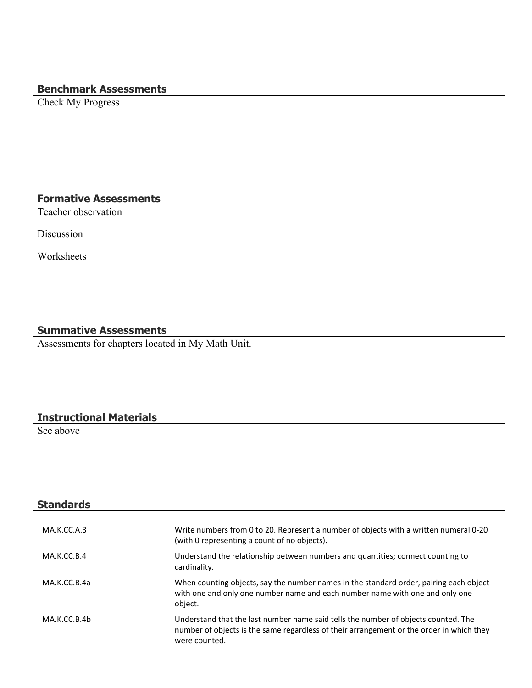# **Benchmark Assessments**

Check My Progress

# **Formative Assessments**

Teacher observation

Discussion

Worksheets

### **Summative Assessments**

Assessments for chapters located in My Math Unit.

#### **Instructional Materials**

See above

| <b>Standards</b> |                                                                                                                                                                                                 |
|------------------|-------------------------------------------------------------------------------------------------------------------------------------------------------------------------------------------------|
| MA.K.CC.A.3      | Write numbers from 0 to 20. Represent a number of objects with a written numeral 0-20<br>(with 0 representing a count of no objects).                                                           |
| MA.K.CC.B.4      | Understand the relationship between numbers and quantities; connect counting to<br>cardinality.                                                                                                 |
| MA.K.CC.B.4a     | When counting objects, say the number names in the standard order, pairing each object<br>with one and only one number name and each number name with one and only one<br>object.               |
| MA.K.CC.B.4b     | Understand that the last number name said tells the number of objects counted. The<br>number of objects is the same regardless of their arrangement or the order in which they<br>were counted. |